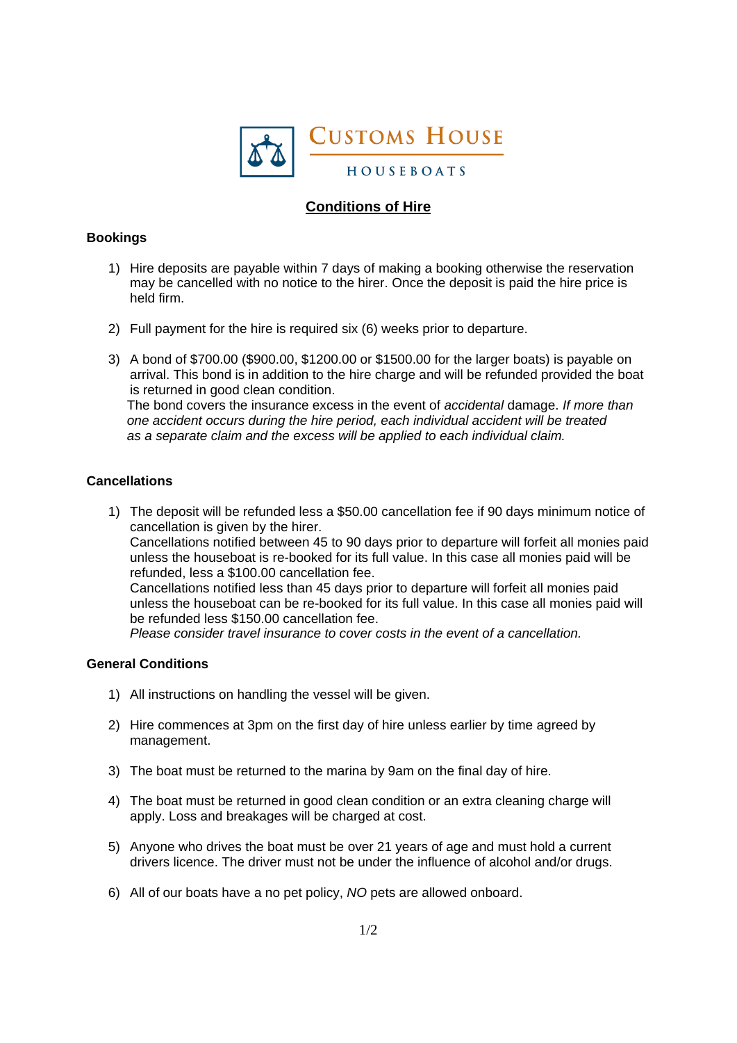

## **Conditions of Hire**

## **Bookings**

- 1) Hire deposits are payable within 7 days of making a booking otherwise the reservation may be cancelled with no notice to the hirer. Once the deposit is paid the hire price is held firm.
- 2) Full payment for the hire is required six (6) weeks prior to departure.
- 3) A bond of \$700.00 (\$900.00, \$1200.00 or \$1500.00 for the larger boats) is payable on arrival. This bond is in addition to the hire charge and will be refunded provided the boat is returned in good clean condition. The bond covers the insurance excess in the event of *accidental* damage. *If more than one accident occurs during the hire period, each individual accident will be treated as a separate claim and the excess will be applied to each individual claim.*

## **Cancellations**

1) The deposit will be refunded less a \$50.00 cancellation fee if 90 days minimum notice of cancellation is given by the hirer. Cancellations notified between 45 to 90 days prior to departure will forfeit all monies paid unless the houseboat is re-booked for its full value. In this case all monies paid will be refunded, less a \$100.00 cancellation fee. Cancellations notified less than 45 days prior to departure will forfeit all monies paid unless the houseboat can be re-booked for its full value. In this case all monies paid will be refunded less \$150.00 cancellation fee. *Please consider travel insurance to cover costs in the event of a cancellation.* 

## **General Conditions**

- 1) All instructions on handling the vessel will be given.
- 2) Hire commences at 3pm on the first day of hire unless earlier by time agreed by management.
- 3) The boat must be returned to the marina by 9am on the final day of hire.
- 4) The boat must be returned in good clean condition or an extra cleaning charge will apply. Loss and breakages will be charged at cost.
- 5) Anyone who drives the boat must be over 21 years of age and must hold a current drivers licence. The driver must not be under the influence of alcohol and/or drugs.
- 6) All of our boats have a no pet policy, *NO* pets are allowed onboard.